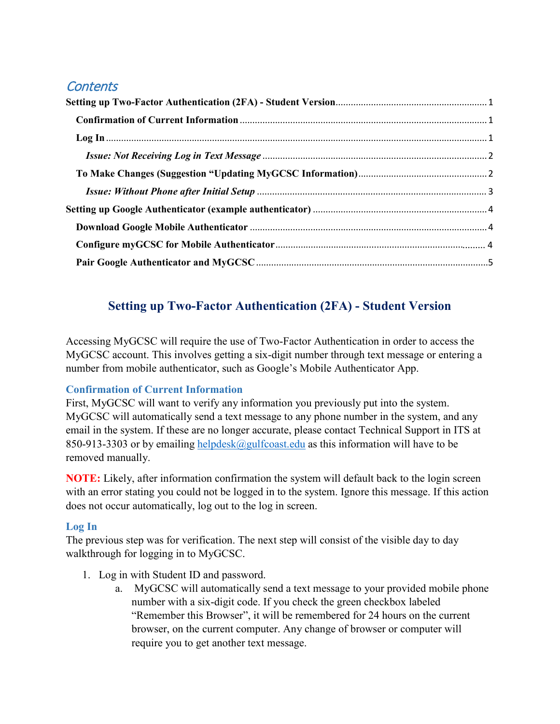# **Contents**

# **Setting up Two-Factor Authentication (2FA) - Student Version**

<span id="page-0-0"></span>Accessing MyGCSC will require the use of Two-Factor Authentication in order to access the MyGCSC account. This involves getting a six-digit number through text message or entering a number from mobile authenticator, such as Google's Mobile Authenticator App.

# <span id="page-0-1"></span>**Confirmation of Current Information**

First, MyGCSC will want to verify any information you previously put into the system. MyGCSC will automatically send a text message to any phone number in the system, and any email in the system. If these are no longer accurate, please contact Technical Support in ITS at 850-913-3303 or by emailing [helpdesk@gulfcoast.edu](mailto:helpdesk@gulfcoast.edu) as this information will have to be removed manually.

**NOTE:** Likely, after information confirmation the system will default back to the login screen with an error stating you could not be logged in to the system. Ignore this message. If this action does not occur automatically, log out to the log in screen.

# <span id="page-0-2"></span>**Log In**

The previous step was for verification. The next step will consist of the visible day to day walkthrough for logging in to MyGCSC.

- 1. Log in with Student ID and password.
	- a. MyGCSC will automatically send a text message to your provided mobile phone number with a six-digit code. If you check the green checkbox labeled "Remember this Browser", it will be remembered for 24 hours on the current browser, on the current computer. Any change of browser or computer will require you to get another text message.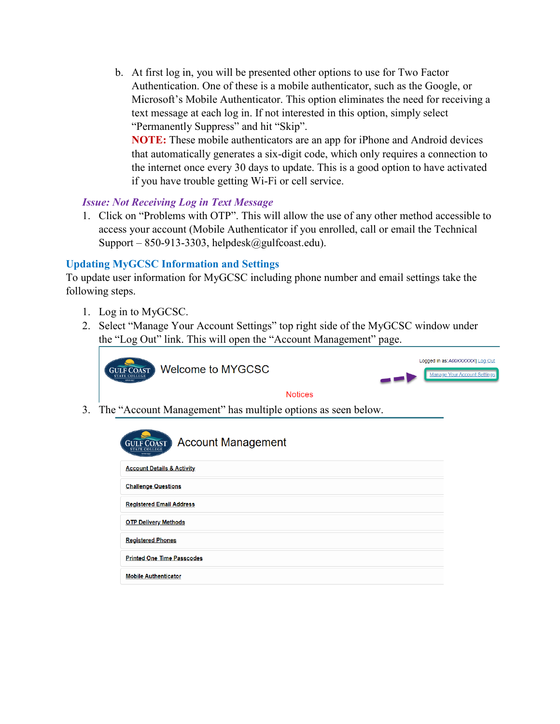b. At first log in, you will be presented other options to use for Two Factor Authentication. One of these is a mobile authenticator, such as the Google, or Microsoft's Mobile Authenticator. This option eliminates the need for receiving a text message at each log in. If not interested in this option, simply select "Permanently Suppress" and hit "Skip".

**NOTE:** These mobile authenticators are an app for iPhone and Android devices that automatically generates a six-digit code, which only requires a connection to the internet once every 30 days to update. This is a good option to have activated if you have trouble getting Wi-Fi or cell service.

# <span id="page-1-0"></span>*Issue: Not Receiving Log in Text Message*

1. Click on "Problems with OTP". This will allow the use of any other method accessible to access your account (Mobile Authenticator if you enrolled, call or email the Technical Support – 850-913-3303, helpdesk $(\partial \text{gulfcoast.edu}).$ 

# <span id="page-1-1"></span>**Updating MyGCSC Information and Settings**

To update user information for MyGCSC including phone number and email settings take the following steps.

- 1. Log in to MyGCSC.
- 2. Select "Manage Your Account Settings" top right side of the MyGCSC window under the "Log Out" link. This will open the "Account Management" page.





#### **Notices**

3. The "Account Management" has multiple options as seen below.

| <b>Account Management</b><br><b>GULF COAST</b><br><b>EMSE 1007</b> |
|--------------------------------------------------------------------|
| <b>Account Details &amp; Activity</b>                              |
| <b>Challenge Questions</b>                                         |
| <b>Registered Email Address</b>                                    |
| <b>OTP Delivery Methods</b>                                        |
| <b>Registered Phones</b>                                           |
| <b>Printed One Time Passcodes</b>                                  |
| <b>Mobile Authenticator</b>                                        |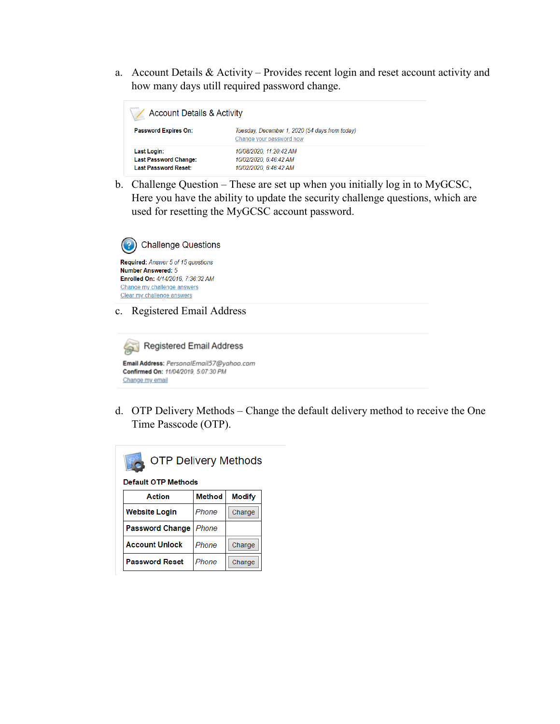a. Account Details & Activity – Provides recent login and reset account activity and how many days utill required password change.

| <b>Account Details &amp; Activity</b>                                      |                                                                             |  |
|----------------------------------------------------------------------------|-----------------------------------------------------------------------------|--|
| <b>Password Expires On:</b>                                                | Tuesday, December 1, 2020 (54 days from today)<br>Change your password now  |  |
| Last Login:<br><b>Last Password Change:</b><br><b>Last Password Reset:</b> | 10/08/2020, 11:20:42 AM<br>10/02/2020, 6:46:42 AM<br>10/02/2020, 6:46:42 AM |  |

b. Challenge Question – These are set up when you initially log in to MyGCSC, Here you have the ability to update the security challenge questions, which are used for resetting the MyGCSC account password.



c. Registered Email Address



d. OTP Delivery Methods – Change the default delivery method to receive the One Time Passcode (OTP).



**Default OTP Methods** 

| Action                 | <b>Method</b> | <b>Modify</b> |
|------------------------|---------------|---------------|
| <b>Website Login</b>   | Phone         | Change        |
| <b>Password Change</b> | Phone         |               |
| <b>Account Unlock</b>  | Phone         | Change        |
| <b>Password Reset</b>  | Phone         | Change        |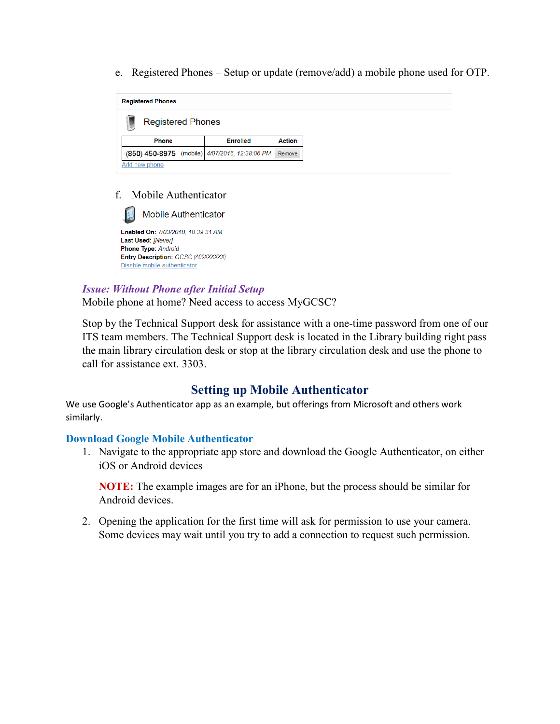e. Registered Phones – Setup or update (remove/add) a mobile phone used for OTP.



#### f. Mobile Authenticator

**Mobile Authenticator** Enabled On: 7/03/2018, 10:39:31 AM Last Used: [Never] Phone Type: Android Entry Description: GCSC (A00XXXXXX) Disable mobile authenticator

### <span id="page-3-0"></span>*Issue: Without Phone after Initial Setup*

Mobile phone at home? Need access to access MyGCSC?

Stop by the Technical Support desk for assistance with a one-time password from one of our ITS team members. The Technical Support desk is located in the Library building right pass the main library circulation desk or stop at the library circulation desk and use the phone to call for assistance ext. 3303.

# **Setting up Mobile Authenticator**

<span id="page-3-1"></span>We use Google's Authenticator app as an example, but offerings from Microsoft and others work similarly.

#### <span id="page-3-2"></span>**Download Google Mobile Authenticator**

1. Navigate to the appropriate app store and download the Google Authenticator, on either iOS or Android devices

**NOTE:** The example images are for an iPhone, but the process should be similar for Android devices.

2. Opening the application for the first time will ask for permission to use your camera. Some devices may wait until you try to add a connection to request such permission.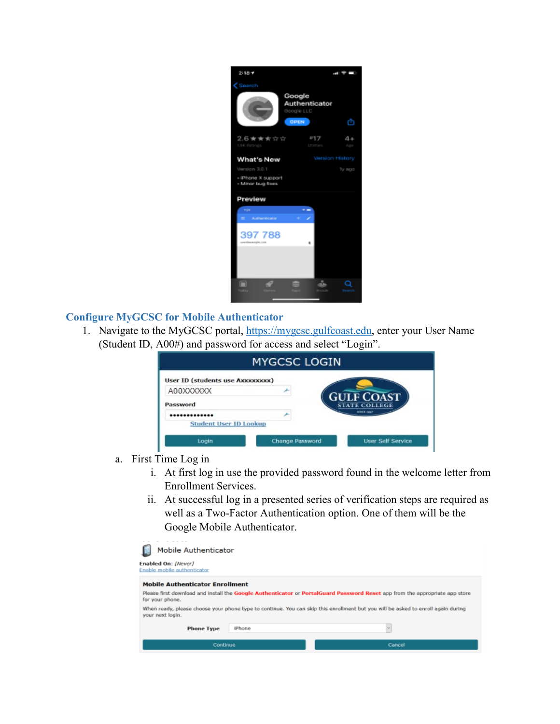

# **Configure MyGCSC for Mobile Authenticator**

1. Navigate to the MyGCSC portal, [https://mygcsc.gulfcoast.edu,](https://mygcsc.gulfcoast.edu/) enter your User Name (Student ID, A00#) and password for access and select "Login".

| <b>MYGCSC LOGIN</b>                     |                        |                          |
|-----------------------------------------|------------------------|--------------------------|
| <b>User ID (students use AXXXXXXXX)</b> |                        |                          |
| A00XXXXXX                               |                        | <b>GULF COAST</b>        |
| Password                                |                        | <b>STATE COLLEGE</b>     |
|                                         |                        | <b>SENSIE FAX</b>        |
| <b>Student User ID Lookup</b>           |                        |                          |
| Login                                   | <b>Change Password</b> | <b>User Self Service</b> |

- a. First Time Log in
	- i. At first log in use the provided password found in the welcome letter from Enrollment Services.
	- ii. At successful log in a presented series of verification steps are required as well as a Two-Factor Authentication option. One of them will be the Google Mobile Authenticator.

| <b>Mobile Authenticator</b><br>Enabled On: [Never]<br>Enable mobile authenticator |        |                                                                                                                                  |
|-----------------------------------------------------------------------------------|--------|----------------------------------------------------------------------------------------------------------------------------------|
| <b>Mobile Authenticator Enrollment</b>                                            |        | Please first download and install the Google Authenticator or PortalGuard Password Reset app from the appropriate app store      |
| for your phone.<br>your next login.                                               |        | When ready, please choose your phone type to continue. You can skip this enrollment but you will be asked to enroll again during |
| <b>Phone Type</b>                                                                 | iPhone | $\sim$                                                                                                                           |
| Continue                                                                          |        | Cancel                                                                                                                           |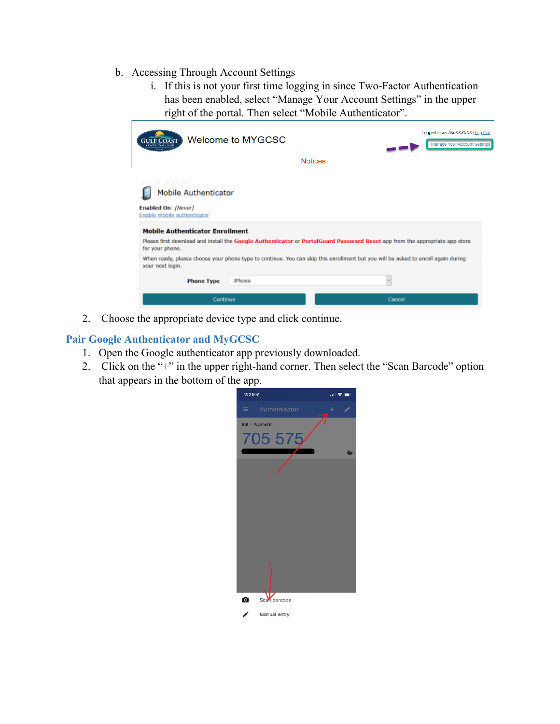- b. Accessing Through Account Settings
	- i. If this is not your first time logging in since Two-Factor Authentication has been enabled, select "Manage Your Account Settings" in the upper right of the portal. Then select "Mobile Authenticator".

| <b>GULF COAST</b><br>state colleg                                                                                           | Welcome to MYGCSC |                                                                                                                                  | Logged in as: A00XXXXXXI Log Out<br><b>Manage Your Account Settings</b> |
|-----------------------------------------------------------------------------------------------------------------------------|-------------------|----------------------------------------------------------------------------------------------------------------------------------|-------------------------------------------------------------------------|
|                                                                                                                             |                   | <b>Notices</b>                                                                                                                   |                                                                         |
| <b>Mobile Authenticator</b><br>Enabled On: [Never]<br>Enable mobile authenticator<br><b>Mobile Authenticator Enrollment</b> |                   |                                                                                                                                  |                                                                         |
| for your phone.                                                                                                             |                   | Please first download and install the Google Authenticator or PortalGuard Password Reset app from the appropriate app store      |                                                                         |
| your next login.                                                                                                            |                   | When ready, please choose your phone type to continue. You can skip this enrollment but you will be asked to enroll again during |                                                                         |
| <b>Phone Type</b>                                                                                                           | iPhone            |                                                                                                                                  |                                                                         |
| Continue                                                                                                                    |                   | Cancel                                                                                                                           |                                                                         |

2. Choose the appropriate device type and click continue.

# <span id="page-5-0"></span>**Pair Google Authenticator and MyGCSC**

- 1. Open the Google authenticator app previously downloaded.
- 2. Click on the "+" in the upper right-hand corner. Then select the "Scan Barcode" option that appears in the bottom of the app.